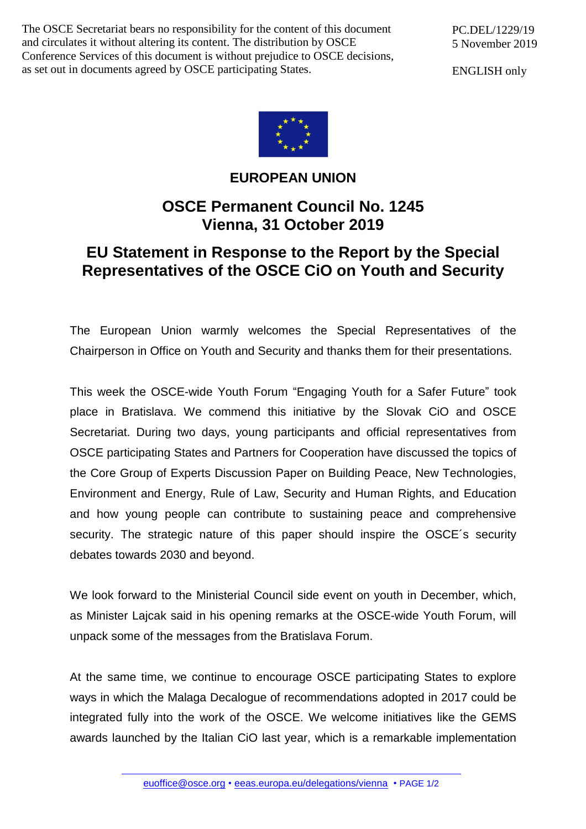The OSCE Secretariat bears no responsibility for the content of this document and circulates it without altering its content. The distribution by OSCE Conference Services of this document is without prejudice to OSCE decisions, as set out in documents agreed by OSCE participating States.

ENGLISH only



## **EUROPEAN UNION**

## **OSCE Permanent Council No. 1245 Vienna, 31 October 2019**

## **EU Statement in Response to the Report by the Special Representatives of the OSCE CiO on Youth and Security**

The European Union warmly welcomes the Special Representatives of the Chairperson in Office on Youth and Security and thanks them for their presentations.

This week the OSCE-wide Youth Forum "Engaging Youth for a Safer Future" took place in Bratislava. We commend this initiative by the Slovak CiO and OSCE Secretariat. During two days, young participants and official representatives from OSCE participating States and Partners for Cooperation have discussed the topics of the Core Group of Experts Discussion Paper on Building Peace, New Technologies, Environment and Energy, Rule of Law, Security and Human Rights, and Education and how young people can contribute to sustaining peace and comprehensive security. The strategic nature of this paper should inspire the OSCE's security debates towards 2030 and beyond.

We look forward to the Ministerial Council side event on youth in December, which, as Minister Lajcak said in his opening remarks at the OSCE-wide Youth Forum, will unpack some of the messages from the Bratislava Forum.

At the same time, we continue to encourage OSCE participating States to explore ways in which the Malaga Decalogue of recommendations adopted in 2017 could be integrated fully into the work of the OSCE. We welcome initiatives like the GEMS awards launched by the Italian CiO last year, which is a remarkable implementation